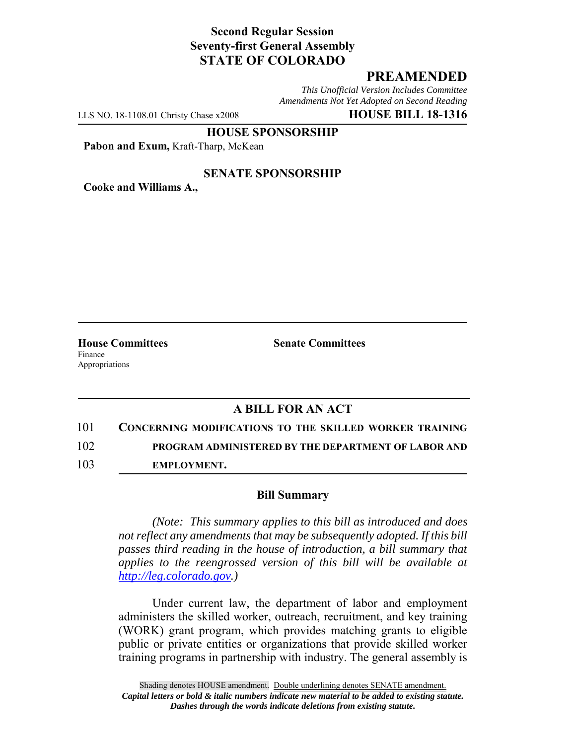## **Second Regular Session Seventy-first General Assembly STATE OF COLORADO**

## **PREAMENDED**

*This Unofficial Version Includes Committee Amendments Not Yet Adopted on Second Reading*

LLS NO. 18-1108.01 Christy Chase x2008 **HOUSE BILL 18-1316**

**HOUSE SPONSORSHIP**

Pabon and Exum, Kraft-Tharp, McKean

## **SENATE SPONSORSHIP**

**Cooke and Williams A.,**

Finance Appropriations

**House Committees Senate Committees** 

## **A BILL FOR AN ACT**

- 101 **CONCERNING MODIFICATIONS TO THE SKILLED WORKER TRAINING** 102 **PROGRAM ADMINISTERED BY THE DEPARTMENT OF LABOR AND** 103 **EMPLOYMENT.**
	- **Bill Summary**

*(Note: This summary applies to this bill as introduced and does not reflect any amendments that may be subsequently adopted. If this bill passes third reading in the house of introduction, a bill summary that applies to the reengrossed version of this bill will be available at http://leg.colorado.gov.)*

Under current law, the department of labor and employment administers the skilled worker, outreach, recruitment, and key training (WORK) grant program, which provides matching grants to eligible public or private entities or organizations that provide skilled worker training programs in partnership with industry. The general assembly is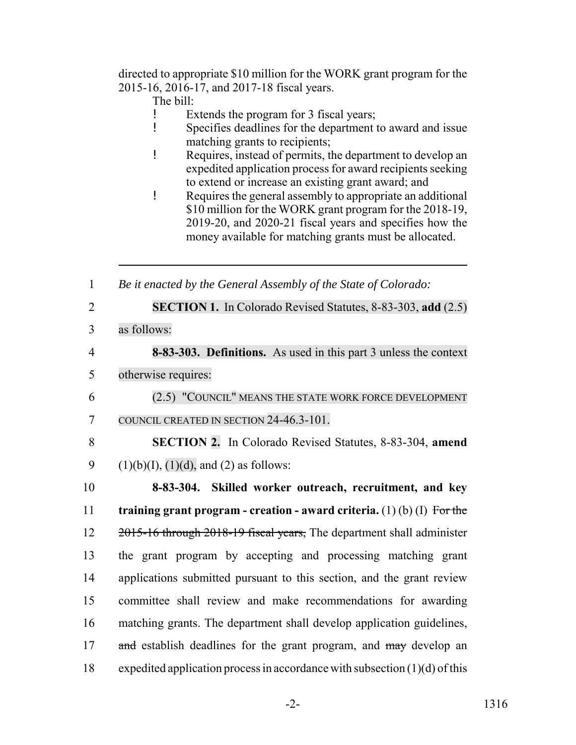directed to appropriate \$10 million for the WORK grant program for the 2015-16, 2016-17, and 2017-18 fiscal years.

- The bill:
- ! Extends the program for 3 fiscal years;
- ! Specifies deadlines for the department to award and issue matching grants to recipients;
- ! Requires, instead of permits, the department to develop an expedited application process for award recipients seeking to extend or increase an existing grant award; and
- ! Requires the general assembly to appropriate an additional \$10 million for the WORK grant program for the 2018-19, 2019-20, and 2020-21 fiscal years and specifies how the money available for matching grants must be allocated.

1 *Be it enacted by the General Assembly of the State of Colorado:*

- 2 **SECTION 1.** In Colorado Revised Statutes, 8-83-303, **add** (2.5)
- 3 as follows:

4 **8-83-303. Definitions.** As used in this part 3 unless the context 5 otherwise requires:

- 6 (2.5) "COUNCIL" MEANS THE STATE WORK FORCE DEVELOPMENT 7 COUNCIL CREATED IN SECTION 24-46.3-101.
- 8 **SECTION 2.** In Colorado Revised Statutes, 8-83-304, **amend** 9 (1)(b)(I), (1)(d), and (2) as follows:

 **8-83-304. Skilled worker outreach, recruitment, and key training grant program - creation - award criteria.** (1) (b) (I) For the 12 2015-16 through 2018-19 fiscal years, The department shall administer the grant program by accepting and processing matching grant applications submitted pursuant to this section, and the grant review committee shall review and make recommendations for awarding matching grants. The department shall develop application guidelines, 17 and establish deadlines for the grant program, and may develop an expedited application process in accordance with subsection (1)(d) of this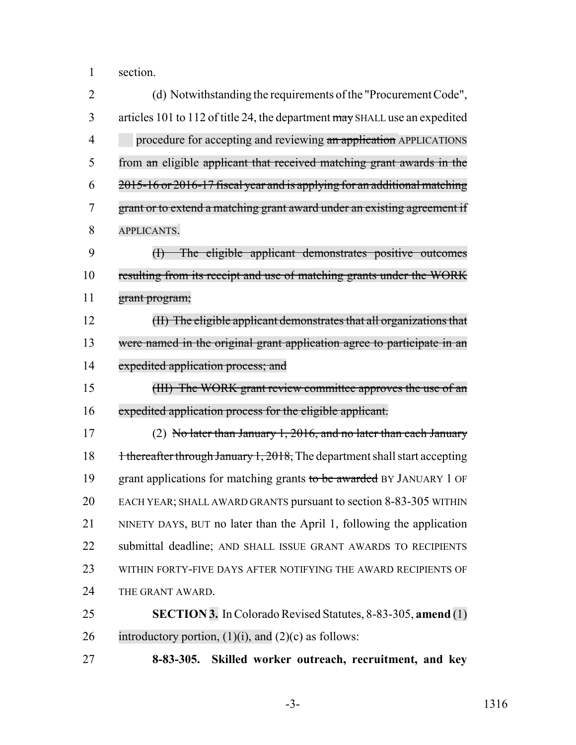section.

| $\overline{2}$ | (d) Notwithstanding the requirements of the "Procurement Code",                       |
|----------------|---------------------------------------------------------------------------------------|
| 3              | articles 101 to 112 of title 24, the department may SHALL use an expedited            |
| 4              | procedure for accepting and reviewing an application APPLICATIONS                     |
| 5              | from an eligible applicant that received matching grant awards in the                 |
| 6              | 2015-16 or 2016-17 fiscal year and is applying for an additional matching             |
| 7              | grant or to extend a matching grant award under an existing agreement if              |
| 8              | APPLICANTS.                                                                           |
| 9              | (I) The eligible applicant demonstrates positive outcomes                             |
| 10             | resulting from its receipt and use of matching grants under the WORK                  |
| 11             | grant program;                                                                        |
| 12             | (II) The eligible applicant demonstrates that all organizations that                  |
| 13             | were named in the original grant application agree to participate in an               |
| 14             | expedited application process; and                                                    |
| 15             | (HI) The WORK grant review committee approves the use of an                           |
| 16             | expedited application process for the eligible applicant.                             |
| 17             | (2) No later than January 1, 2016, and no later than each January                     |
| 18             | <del>1 thereafter through January 1, 2018,</del> The department shall start accepting |
| 19             | grant applications for matching grants to be awarded BY JANUARY 1 OF                  |
| 20             | EACH YEAR; SHALL AWARD GRANTS pursuant to section 8-83-305 WITHIN                     |
| 21             | NINETY DAYS, BUT no later than the April 1, following the application                 |
| 22             | submittal deadline; AND SHALL ISSUE GRANT AWARDS TO RECIPIENTS                        |
| 23             | WITHIN FORTY-FIVE DAYS AFTER NOTIFYING THE AWARD RECIPIENTS OF                        |
| 24             | THE GRANT AWARD.                                                                      |
| 25             | <b>SECTION 3.</b> In Colorado Revised Statutes, 8-83-305, amend (1)                   |
| 26             | introductory portion, $(1)(i)$ , and $(2)(c)$ as follows:                             |
| 27             | Skilled worker outreach, recruitment, and key<br>$8 - 83 - 305.$                      |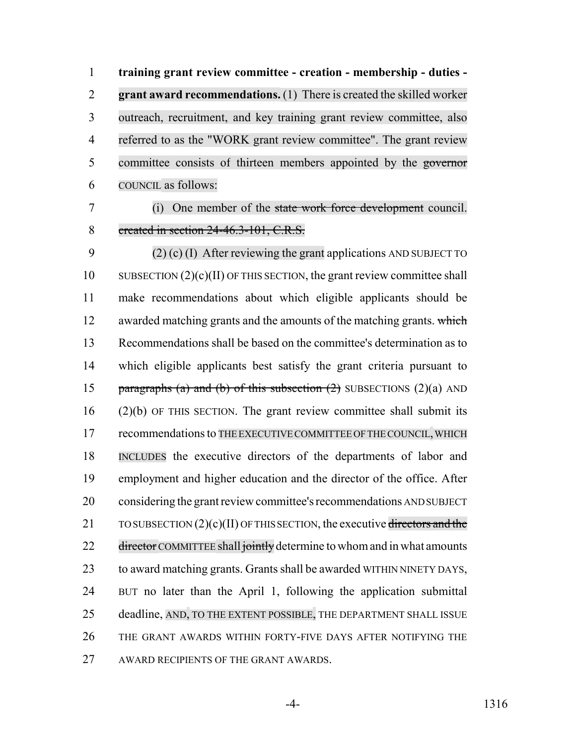**training grant review committee - creation - membership - duties - grant award recommendations.** (1) There is created the skilled worker outreach, recruitment, and key training grant review committee, also referred to as the "WORK grant review committee". The grant review committee consists of thirteen members appointed by the governor COUNCIL as follows:

 (i) One member of the state work force development council. 8 created in section 24-46.3-101, C.R.S.

 (2) (c) (I) After reviewing the grant applications AND SUBJECT TO 10 SUBSECTION  $(2)(c)(II)$  OF THIS SECTION, the grant review committee shall make recommendations about which eligible applicants should be 12 awarded matching grants and the amounts of the matching grants. which Recommendations shall be based on the committee's determination as to which eligible applicants best satisfy the grant criteria pursuant to 15 paragraphs (a) and (b) of this subsection  $(2)$  SUBSECTIONS  $(2)(a)$  AND (2)(b) OF THIS SECTION. The grant review committee shall submit its 17 recommendations to THE EXECUTIVE COMMITTEE OF THE COUNCIL, WHICH INCLUDES the executive directors of the departments of labor and employment and higher education and the director of the office. After considering the grant review committee's recommendations AND SUBJECT 21 TO SUBSECTION  $(2)(c)(II)$  OF THIS SECTION, the executive directors and the 22 director COMMITTEE shall jointly determine to whom and in what amounts to award matching grants. Grants shall be awarded WITHIN NINETY DAYS, BUT no later than the April 1, following the application submittal 25 deadline, AND, TO THE EXTENT POSSIBLE, THE DEPARTMENT SHALL ISSUE THE GRANT AWARDS WITHIN FORTY-FIVE DAYS AFTER NOTIFYING THE AWARD RECIPIENTS OF THE GRANT AWARDS.

-4- 1316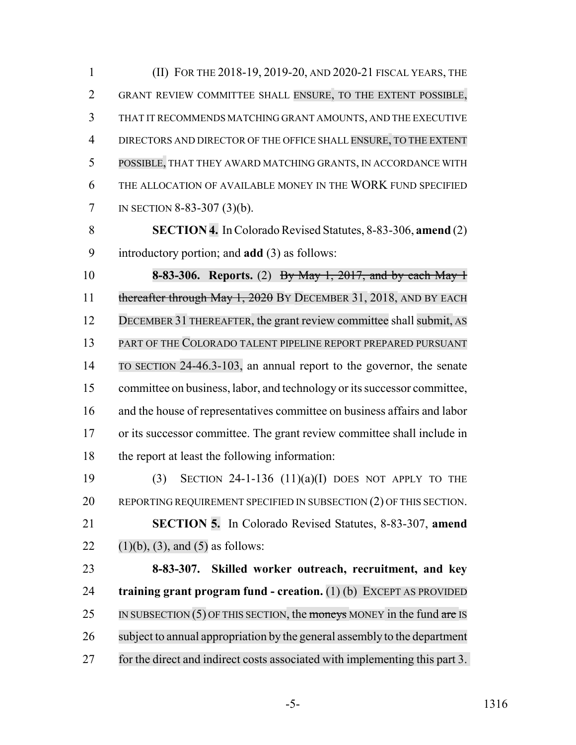(II) FOR THE 2018-19, 2019-20, AND 2020-21 FISCAL YEARS, THE GRANT REVIEW COMMITTEE SHALL ENSURE, TO THE EXTENT POSSIBLE, THAT IT RECOMMENDS MATCHING GRANT AMOUNTS, AND THE EXECUTIVE DIRECTORS AND DIRECTOR OF THE OFFICE SHALL ENSURE, TO THE EXTENT POSSIBLE, THAT THEY AWARD MATCHING GRANTS, IN ACCORDANCE WITH THE ALLOCATION OF AVAILABLE MONEY IN THE WORK FUND SPECIFIED IN SECTION 8-83-307 (3)(b).

 **SECTION 4.** In Colorado Revised Statutes, 8-83-306, **amend** (2) introductory portion; and **add** (3) as follows:

 **8-83-306. Reports.** (2) By May 1, 2017, and by each May 1 11 thereafter through May 1, 2020 BY DECEMBER 31, 2018, AND BY EACH DECEMBER 31 THEREAFTER, the grant review committee shall submit, AS PART OF THE COLORADO TALENT PIPELINE REPORT PREPARED PURSUANT TO SECTION 24-46.3-103, an annual report to the governor, the senate committee on business, labor, and technology or its successor committee, and the house of representatives committee on business affairs and labor or its successor committee. The grant review committee shall include in the report at least the following information:

 (3) SECTION 24-1-136 (11)(a)(I) DOES NOT APPLY TO THE 20 REPORTING REQUIREMENT SPECIFIED IN SUBSECTION (2) OF THIS SECTION. **SECTION 5.** In Colorado Revised Statutes, 8-83-307, **amend** 22 (1)(b), (3), and (5) as follows:

 **8-83-307. Skilled worker outreach, recruitment, and key training grant program fund - creation.** (1) (b) EXCEPT AS PROVIDED 25 IN SUBSECTION (5) OF THIS SECTION, the moneys MONEY in the fund are IS subject to annual appropriation by the general assembly to the department for the direct and indirect costs associated with implementing this part 3.